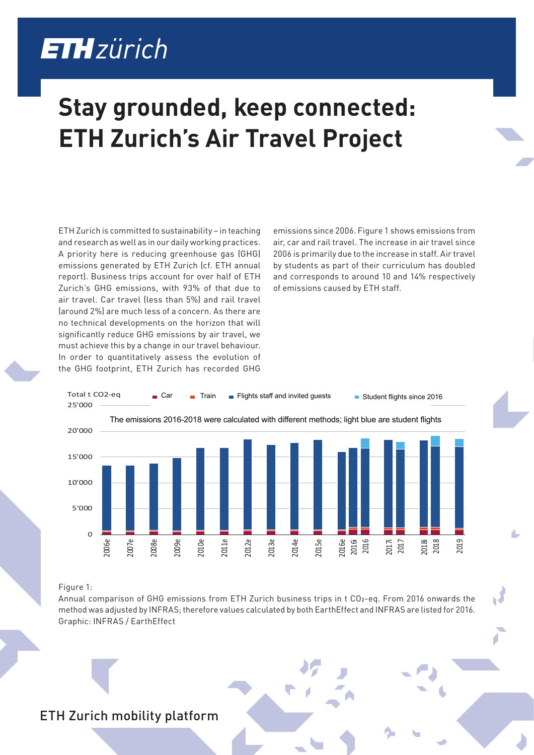## **ETH**zürich

## **Stay grounded, keep connected: ETH Zurich's Air Travel Project**

ETH Zurich is committed to sustainability – in teaching and research as well as in our daily working practices. A priority here is reducing greenhouse gas (GHG) emissions generated by ETH Zurich (cf. ETH annual report). Business trips account for over half of ETH Zurich's GHG emissions, with 93% of that due to air travel. Car travel (less than 5%) and rail travel (around 2%) are much less of a concern. As there are no technical developments on the horizon that will significantly reduce GHG emissions by air travel, we must achieve this by a change in our travel behaviour. In order to quantitatively assess the evolution of the GHG footprint, ETH Zurich has recorded GHG

emissions since 2006. Figure 1 shows emissions from air, car and rail travel. The increase in air travel since 2006 is primarily due to the increase in staff. Air travel by students as part of their curriculum has doubled and corresponds to around 10 and 14% respectively of emissions caused by ETH staff.



## Figure 1:

Annual comparison of GHG emissions from ETH Zurich business trips in t CO2-eq. From 2016 onwards the method was adjusted by INFRAS; therefore values calculated by both EarthEffect and INFRAS are listed for 2016. Graphic: INFRAS / EarthEffect

## ETH Zurich mobility platform